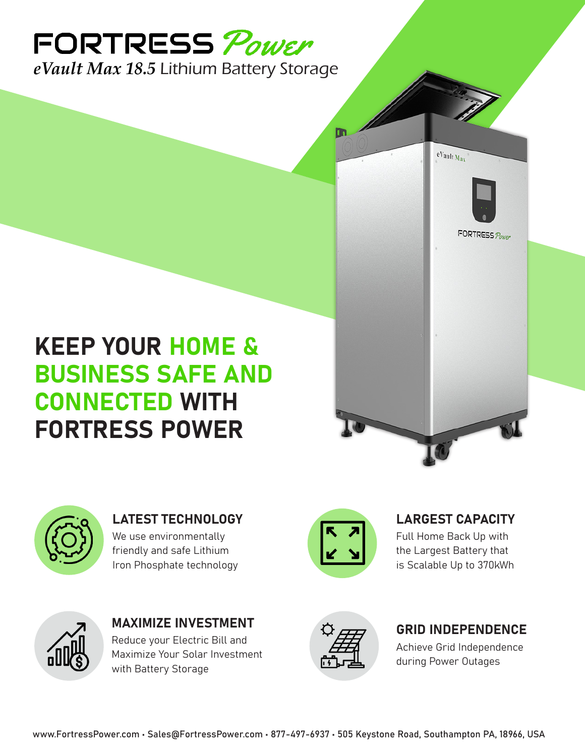# FORTRESS Power *eVault Max 18.5* Lithium Battery Storage

KEEP YOUR HOME & BUSINESS SAFE AND CONNECTED WITH FORTRESS POWER



LATEST TECHNOLOGY We use environmentally friendly and safe Lithium Iron Phosphate technology



LARGEST CAPACITY Full Home Back Up with the Largest Battery that is Scalable Up to 370kWh

eVault Max

FORTRESS Power



MAXIMIZE INVESTMENT Reduce your Electric Bill and Maximize Your Solar Investment with Battery Storage



#### GRID INDEPENDENCE

Achieve Grid Independence during Power Outages

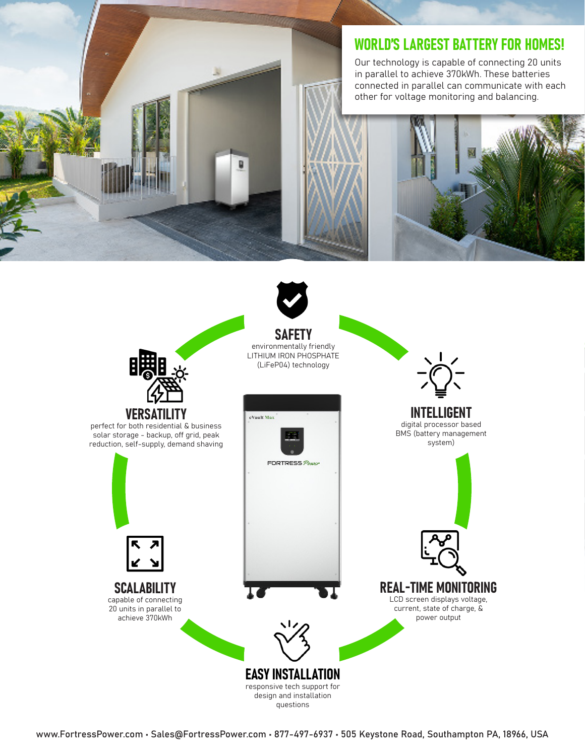### WORLD'S LARGEST BATTERY FOR HOMES!

Our technology is capable of connecting 20 units in parallel to achieve 370kWh. These batteries connected in parallel can communicate with each other for voltage monitoring and balancing.



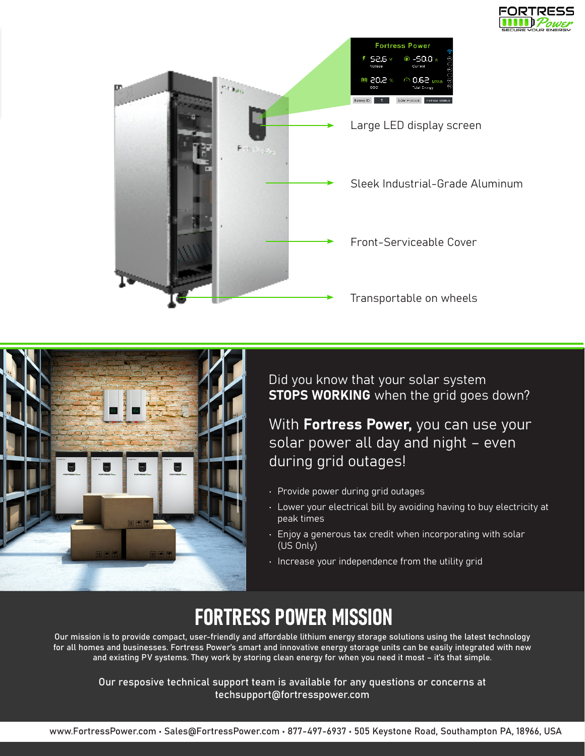





Did you know that your solar system **STOPS WORKING** when the grid goes down?

With Fortress Power, you can use your solar power all day and night – even during grid outages!

- Provide power during grid outages
- Lower your electrical bill by avoiding having to buy electricity at peak times
- Enjoy a generous tax credit when incorporating with solar (US Only)
- Increase your independence from the utility grid

# FORTRESS POWER MISSION

Our mission is to provide compact, user-friendly and affordable lithium energy storage solutions using the latest technology for all homes and businesses. Fortress Power's smart and innovative energy storage units can be easily integrated with new and existing PV systems. They work by storing clean energy for when you need it most – it's that simple.

Our resposive technical support team is available for any questions or concerns at techsupport@fortresspower.com